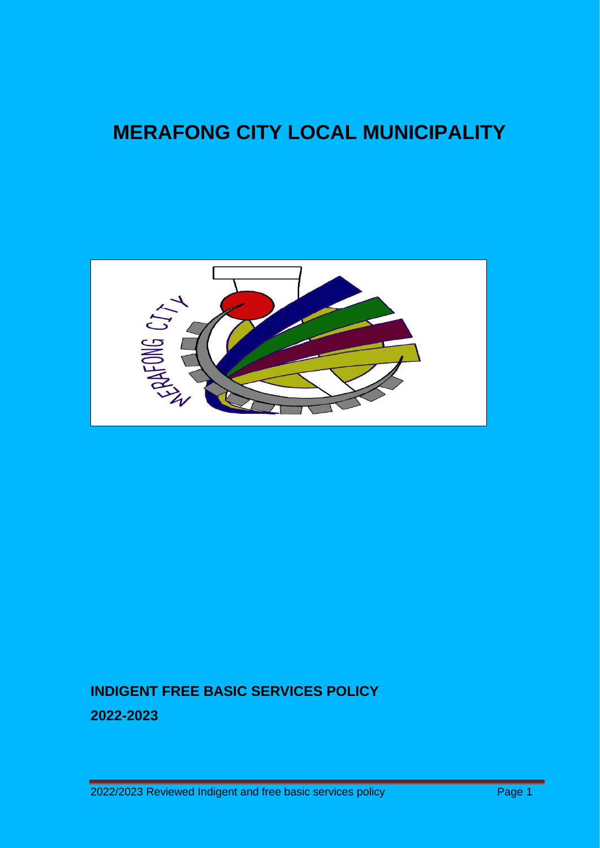# **MERAFONG CITY LOCAL MUNICIPALITY**



## **INDIGENT FREE BASIC SERVICES POLICY 2022-2023**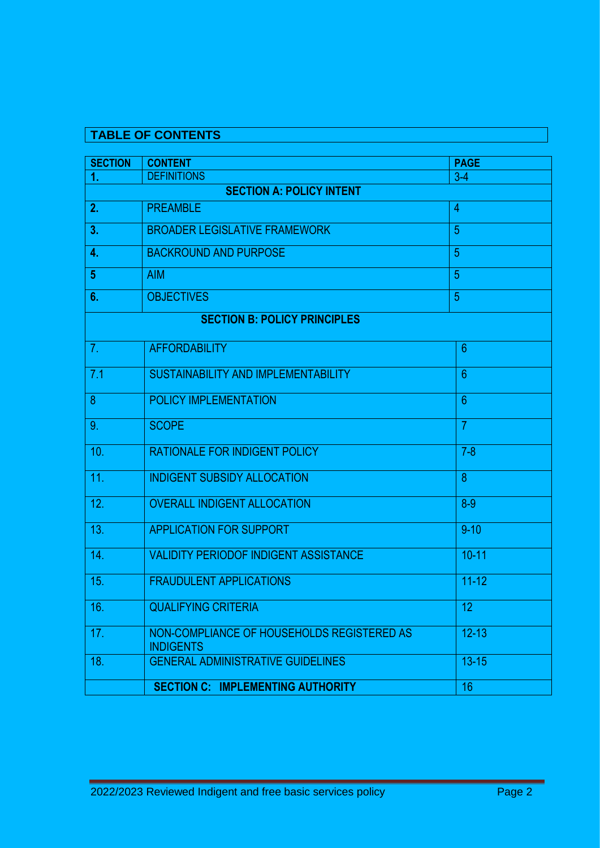## **TABLE OF CONTENTS**

| <b>SECTION</b>                      | <b>CONTENT</b>                                                 | <b>PAGE</b>     |  |
|-------------------------------------|----------------------------------------------------------------|-----------------|--|
| 1.                                  | <b>DEFINITIONS</b>                                             | $3-4$           |  |
| <b>SECTION A: POLICY INTENT</b>     |                                                                |                 |  |
| 2.                                  | <b>PREAMBLE</b>                                                | $\overline{4}$  |  |
| 3.                                  | <b>BROADER LEGISLATIVE FRAMEWORK</b>                           | 5               |  |
| 4.                                  | <b>BACKROUND AND PURPOSE</b>                                   | 5               |  |
| 5                                   | <b>AIM</b>                                                     | 5               |  |
| 6.                                  | <b>OBJECTIVES</b>                                              | $\overline{5}$  |  |
| <b>SECTION B: POLICY PRINCIPLES</b> |                                                                |                 |  |
| 7.                                  | <b>AFFORDABILITY</b>                                           | $6\phantom{1}6$ |  |
| 7.1                                 | $6\phantom{1}6$<br>SUSTAINABILITY AND IMPLEMENTABILITY         |                 |  |
| 8                                   | POLICY IMPLEMENTATION                                          | $6\phantom{1}6$ |  |
| 9.                                  | $\overline{7}$<br><b>SCOPE</b>                                 |                 |  |
| 10.                                 | <b>RATIONALE FOR INDIGENT POLICY</b><br>$7 - 8$                |                 |  |
| 11.                                 | 8<br><b>INDIGENT SUBSIDY ALLOCATION</b>                        |                 |  |
| 12.                                 | <b>OVERALL INDIGENT ALLOCATION</b><br>$8-9$                    |                 |  |
| 13.                                 | <b>APPLICATION FOR SUPPORT</b><br>$9 - 10$                     |                 |  |
| 14.                                 | $10 - 11$<br><b>VALIDITY PERIODOF INDIGENT ASSISTANCE</b>      |                 |  |
| 15.                                 | $11 - 12$<br><b>FRAUDULENT APPLICATIONS</b>                    |                 |  |
| 16.                                 | <b>QUALIFYING CRITERIA</b>                                     | 12 <sub>2</sub> |  |
| 17.                                 | NON-COMPLIANCE OF HOUSEHOLDS REGISTERED AS<br><b>INDIGENTS</b> | $12 - 13$       |  |
| 18.                                 | <b>GENERAL ADMINISTRATIVE GUIDELINES</b>                       | $13 - 15$       |  |
|                                     | <b>SECTION C: IMPLEMENTING AUTHORITY</b>                       | 16              |  |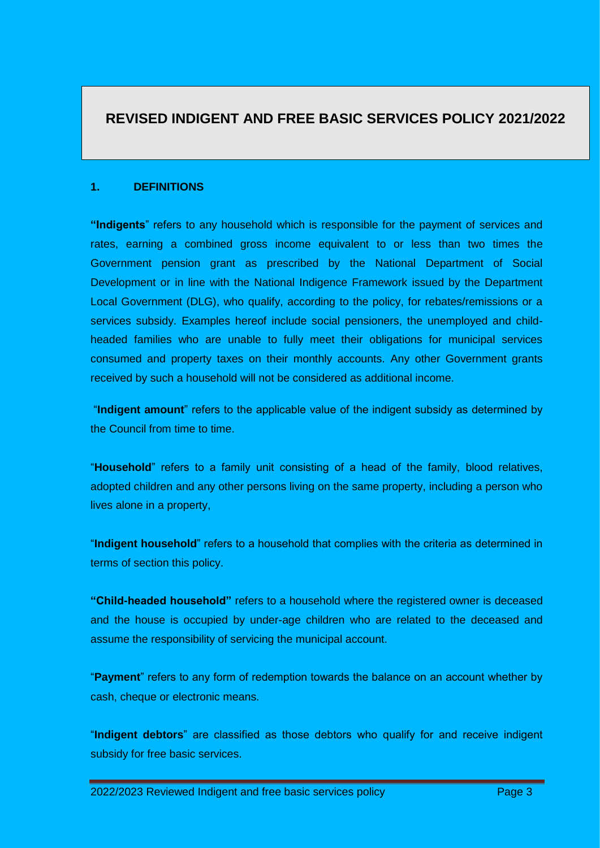### **REVISED INDIGENT AND FREE BASIC SERVICES POLICY 2021/2022**

#### **1. DEFINITIONS**

**"Indigents**" refers to any household which is responsible for the payment of services and rates, earning a combined gross income equivalent to or less than two times the Government pension grant as prescribed by the National Department of Social Development or in line with the National Indigence Framework issued by the Department Local Government (DLG), who qualify, according to the policy, for rebates/remissions or a services subsidy. Examples hereof include social pensioners, the unemployed and childheaded families who are unable to fully meet their obligations for municipal services consumed and property taxes on their monthly accounts. Any other Government grants received by such a household will not be considered as additional income.

"**Indigent amount**" refers to the applicable value of the indigent subsidy as determined by the Council from time to time.

"**Household**" refers to a family unit consisting of a head of the family, blood relatives, adopted children and any other persons living on the same property, including a person who lives alone in a property,

"**Indigent household**" refers to a household that complies with the criteria as determined in terms of section this policy.

**"Child-headed household"** refers to a household where the registered owner is deceased and the house is occupied by under-age children who are related to the deceased and assume the responsibility of servicing the municipal account.

"**Payment**" refers to any form of redemption towards the balance on an account whether by cash, cheque or electronic means.

"**Indigent debtors**" are classified as those debtors who qualify for and receive indigent subsidy for free basic services.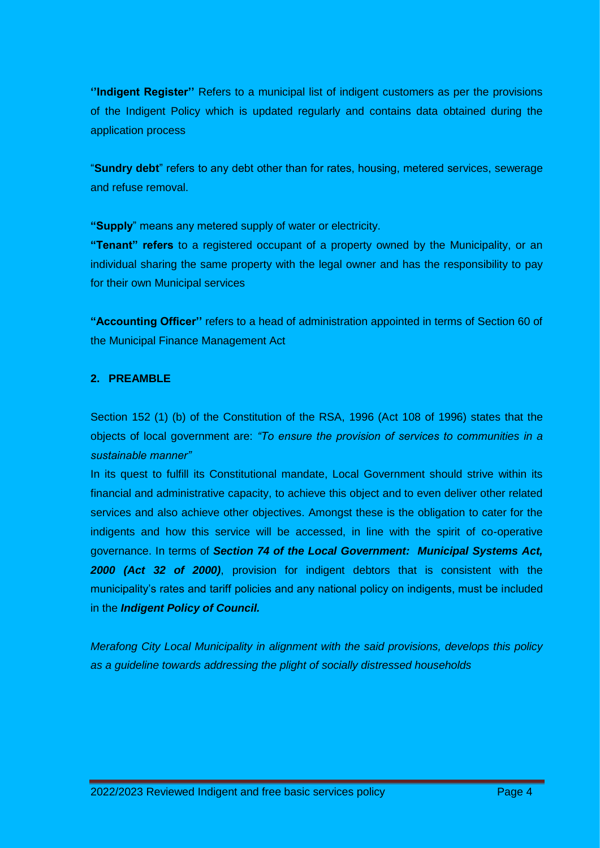**''Indigent Register''** Refers to a municipal list of indigent customers as per the provisions of the Indigent Policy which is updated regularly and contains data obtained during the application process

"**Sundry debt**" refers to any debt other than for rates, housing, metered services, sewerage and refuse removal.

**"Supply**" means any metered supply of water or electricity.

**"Tenant" refers** to a registered occupant of a property owned by the Municipality, or an individual sharing the same property with the legal owner and has the responsibility to pay for their own Municipal services

**"Accounting Officer''** refers to a head of administration appointed in terms of Section 60 of the Municipal Finance Management Act

#### **2. PREAMBLE**

Section 152 (1) (b) of the Constitution of the RSA, 1996 (Act 108 of 1996) states that the objects of local government are: *"To ensure the provision of services to communities in a sustainable manner"*

In its quest to fulfill its Constitutional mandate, Local Government should strive within its financial and administrative capacity, to achieve this object and to even deliver other related services and also achieve other objectives. Amongst these is the obligation to cater for the indigents and how this service will be accessed, in line with the spirit of co-operative governance. In terms of *Section 74 of the Local Government: Municipal Systems Act, 2000 (Act 32 of 2000)*, provision for indigent debtors that is consistent with the municipality's rates and tariff policies and any national policy on indigents, must be included in the *Indigent Policy of Council.* 

*Merafong City Local Municipality in alignment with the said provisions, develops this policy as a guideline towards addressing the plight of socially distressed households*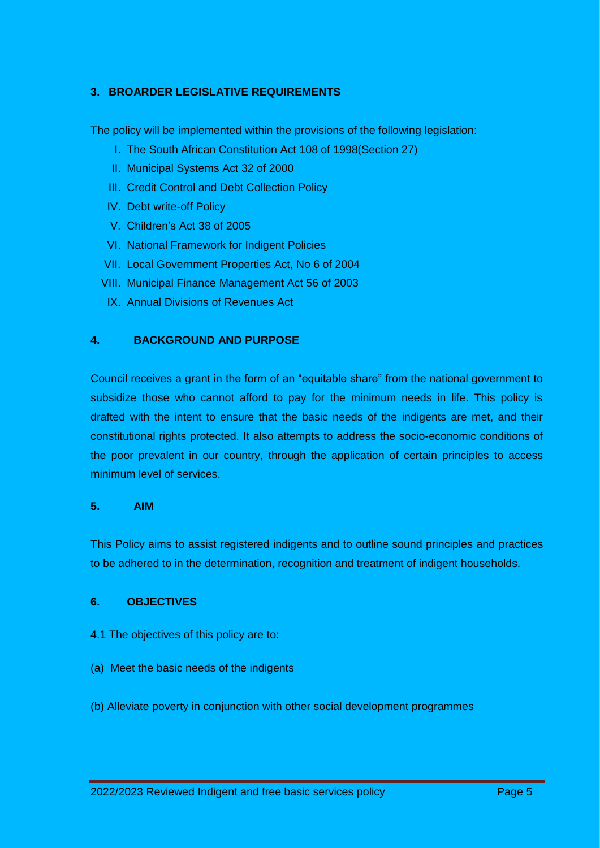#### **3. BROARDER LEGISLATIVE REQUIREMENTS**

The policy will be implemented within the provisions of the following legislation:

- I. The South African Constitution Act 108 of 1998(Section 27)
- II. Municipal Systems Act 32 of 2000
- III. Credit Control and Debt Collection Policy
- IV. Debt write-off Policy
- V. Children's Act 38 of 2005
- VI. National Framework for Indigent Policies
- VII. Local Government Properties Act, No 6 of 2004
- VIII. Municipal Finance Management Act 56 of 2003
- IX. Annual Divisions of Revenues Act

#### **4. BACKGROUND AND PURPOSE**

Council receives a grant in the form of an "equitable share" from the national government to subsidize those who cannot afford to pay for the minimum needs in life. This policy is drafted with the intent to ensure that the basic needs of the indigents are met, and their constitutional rights protected. It also attempts to address the socio-economic conditions of the poor prevalent in our country, through the application of certain principles to access minimum level of services.

#### **5. AIM**

This Policy aims to assist registered indigents and to outline sound principles and practices to be adhered to in the determination, recognition and treatment of indigent households.

#### **6. OBJECTIVES**

- 4.1 The objectives of this policy are to:
- (a) Meet the basic needs of the indigents
- (b) Alleviate poverty in conjunction with other social development programmes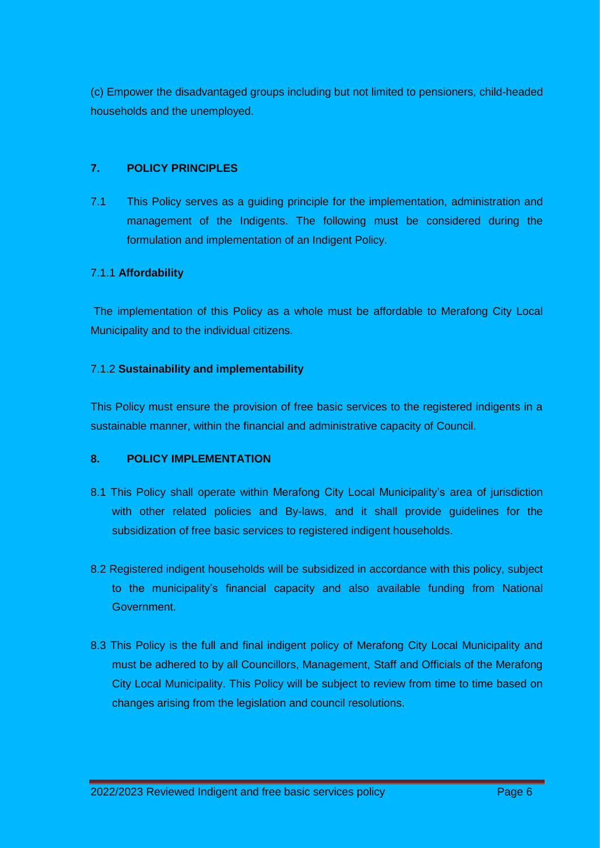(c) Empower the disadvantaged groups including but not limited to pensioners, child-headed households and the unemployed.

#### **7. POLICY PRINCIPLES**

7.1 This Policy serves as a guiding principle for the implementation, administration and management of the Indigents. The following must be considered during the formulation and implementation of an Indigent Policy.

#### 7.1.1 **Affordability**

The implementation of this Policy as a whole must be affordable to Merafong City Local Municipality and to the individual citizens.

#### 7.1.2 **Sustainability and implementability**

This Policy must ensure the provision of free basic services to the registered indigents in a sustainable manner, within the financial and administrative capacity of Council.

#### **8. POLICY IMPLEMENTATION**

- 8.1 This Policy shall operate within Merafong City Local Municipality's area of jurisdiction with other related policies and By-laws, and it shall provide guidelines for the subsidization of free basic services to registered indigent households.
- 8.2 Registered indigent households will be subsidized in accordance with this policy, subject to the municipality's financial capacity and also available funding from National Government.
- 8.3 This Policy is the full and final indigent policy of Merafong City Local Municipality and must be adhered to by all Councillors, Management, Staff and Officials of the Merafong City Local Municipality. This Policy will be subject to review from time to time based on changes arising from the legislation and council resolutions.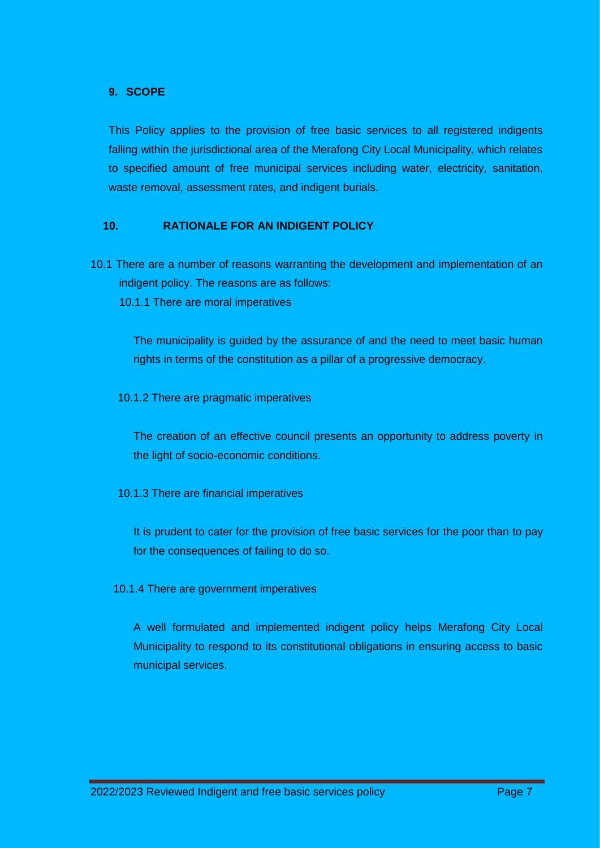#### **9. SCOPE**

This Policy applies to the provision of free basic services to all registered indigents falling within the jurisdictional area of the Merafong City Local Municipality, which relates to specified amount of free municipal services including water, electricity, sanitation, waste removal, assessment rates, and indigent burials.

#### **10. RATIONALE FOR AN INDIGENT POLICY**

- 10.1 There are a number of reasons warranting the development and implementation of an indigent policy. The reasons are as follows:
	- 10.1.1 There are moral imperatives

The municipality is guided by the assurance of and the need to meet basic human rights in terms of the constitution as a pillar of a progressive democracy.

10.1.2 There are pragmatic imperatives

The creation of an effective council presents an opportunity to address poverty in the light of socio-economic conditions.

10.1.3 There are financial imperatives

It is prudent to cater for the provision of free basic services for the poor than to pay for the consequences of failing to do so.

10.1.4 There are government imperatives

A well formulated and implemented indigent policy helps Merafong City Local Municipality to respond to its constitutional obligations in ensuring access to basic municipal services.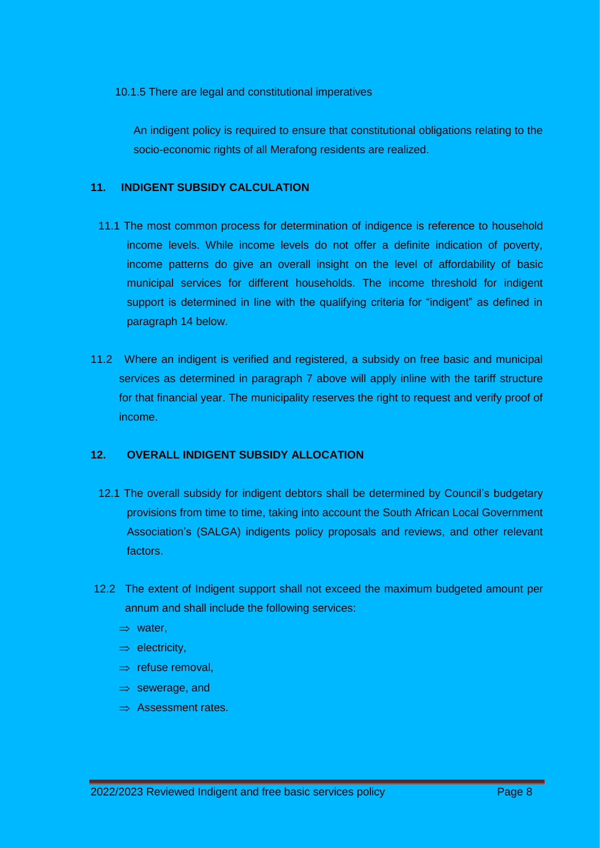10.1.5 There are legal and constitutional imperatives

An indigent policy is required to ensure that constitutional obligations relating to the socio-economic rights of all Merafong residents are realized.

#### **11. INDIGENT SUBSIDY CALCULATION**

- 11.1 The most common process for determination of indigence is reference to household income levels. While income levels do not offer a definite indication of poverty, income patterns do give an overall insight on the level of affordability of basic municipal services for different households. The income threshold for indigent support is determined in line with the qualifying criteria for "indigent" as defined in paragraph 14 below.
- 11.2 Where an indigent is verified and registered, a subsidy on free basic and municipal services as determined in paragraph 7 above will apply inline with the tariff structure for that financial year. The municipality reserves the right to request and verify proof of income.

#### **12. OVERALL INDIGENT SUBSIDY ALLOCATION**

- 12.1 The overall subsidy for indigent debtors shall be determined by Council's budgetary provisions from time to time, taking into account the South African Local Government Association's (SALGA) indigents policy proposals and reviews, and other relevant factors.
- 12.2 The extent of Indigent support shall not exceed the maximum budgeted amount per annum and shall include the following services:
	- $\Rightarrow$  water,
	- $\Rightarrow$  electricity,
	- $\Rightarrow$  refuse removal.
	- $\Rightarrow$  sewerage, and
	- $\Rightarrow$  Assessment rates.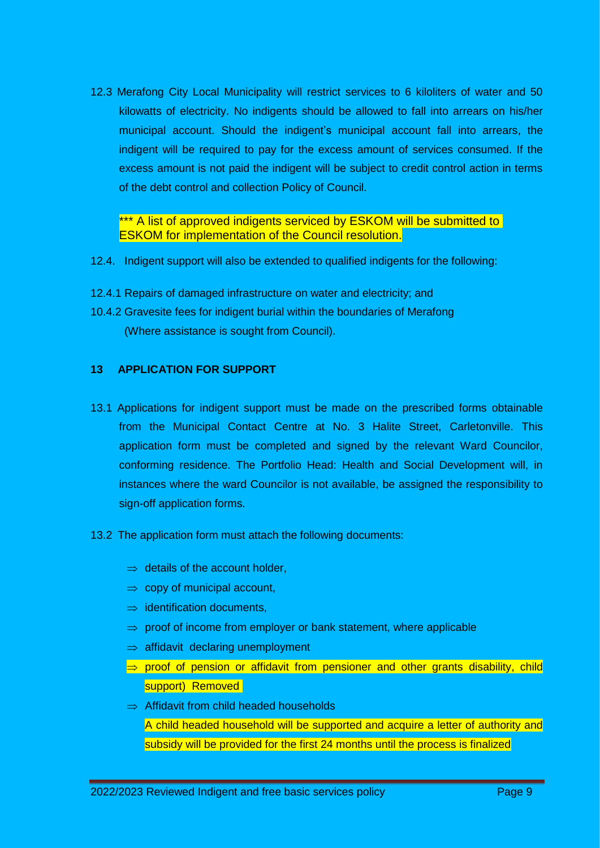12.3 Merafong City Local Municipality will restrict services to 6 kiloliters of water and 50 kilowatts of electricity. No indigents should be allowed to fall into arrears on his/her municipal account. Should the indigent's municipal account fall into arrears, the indigent will be required to pay for the excess amount of services consumed. If the excess amount is not paid the indigent will be subject to credit control action in terms of the debt control and collection Policy of Council.

\*\*\* A list of approved indigents serviced by ESKOM will be submitted to ESKOM for implementation of the Council resolution.

- 12.4. Indigent support will also be extended to qualified indigents for the following:
- 12.4.1 Repairs of damaged infrastructure on water and electricity; and
- 10.4.2 Gravesite fees for indigent burial within the boundaries of Merafong (Where assistance is sought from Council).

#### **13 APPLICATION FOR SUPPORT**

- 13.1 Applications for indigent support must be made on the prescribed forms obtainable from the Municipal Contact Centre at No. 3 Halite Street, Carletonville. This application form must be completed and signed by the relevant Ward Councilor, conforming residence. The Portfolio Head: Health and Social Development will, in instances where the ward Councilor is not available, be assigned the responsibility to sign-off application forms.
- 13.2 The application form must attach the following documents:
	- $\Rightarrow$  details of the account holder,
	- $\Rightarrow$  copy of municipal account,
	- $\Rightarrow$  identification documents.
	- $\Rightarrow$  proof of income from employer or bank statement, where applicable
	- $\Rightarrow$  affidavit declaring unemployment
	- $\Rightarrow$  proof of pension or affidavit from pensioner and other grants disability, child support) Removed
	- $\Rightarrow$  Affidavit from child headed households A child headed household will be supported and acquire a letter of authority and subsidy will be provided for the first 24 months until the process is finalized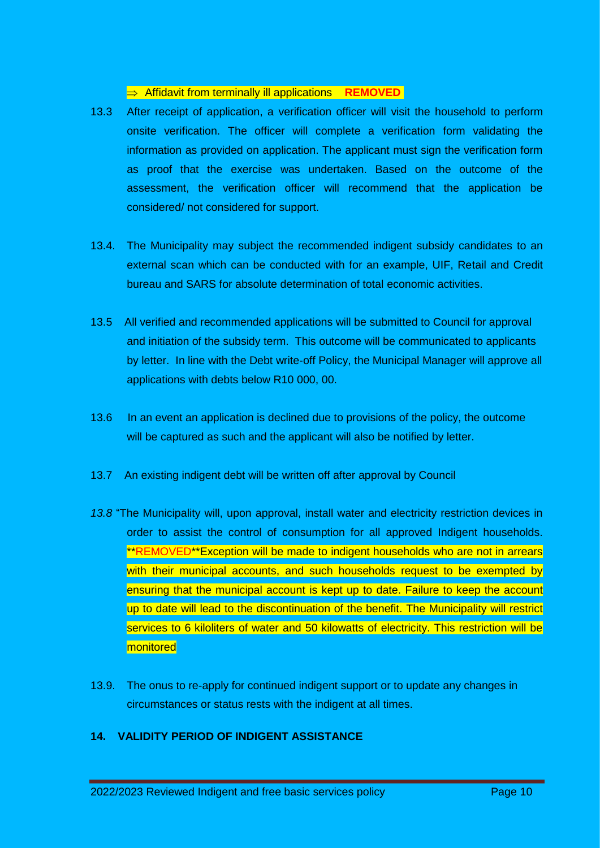#### $\Rightarrow$  **Affidavit from terminally ill applications REMOVED**

- 13.3 After receipt of application, a verification officer will visit the household to perform onsite verification. The officer will complete a verification form validating the information as provided on application. The applicant must sign the verification form as proof that the exercise was undertaken. Based on the outcome of the assessment, the verification officer will recommend that the application be considered/ not considered for support.
- 13.4. The Municipality may subject the recommended indigent subsidy candidates to an external scan which can be conducted with for an example, UIF, Retail and Credit bureau and SARS for absolute determination of total economic activities.
- 13.5 All verified and recommended applications will be submitted to Council for approval and initiation of the subsidy term. This outcome will be communicated to applicants by letter. In line with the Debt write-off Policy, the Municipal Manager will approve all applications with debts below R10 000, 00.
- 13.6 In an event an application is declined due to provisions of the policy, the outcome will be captured as such and the applicant will also be notified by letter.
- 13.7 An existing indigent debt will be written off after approval by Council
- *13.8* "The Municipality will, upon approval, install water and electricity restriction devices in order to assist the control of consumption for all approved Indigent households. \*\*REMOVED\*\*Exception will be made to indigent households who are not in arrears with their municipal accounts, and such households request to be exempted by ensuring that the municipal account is kept up to date. Failure to keep the account up to date will lead to the discontinuation of the benefit. The Municipality will restrict services to 6 kiloliters of water and 50 kilowatts of electricity. This restriction will be monitored
- 13.9. The onus to re-apply for continued indigent support or to update any changes in circumstances or status rests with the indigent at all times.

#### **14. VALIDITY PERIOD OF INDIGENT ASSISTANCE**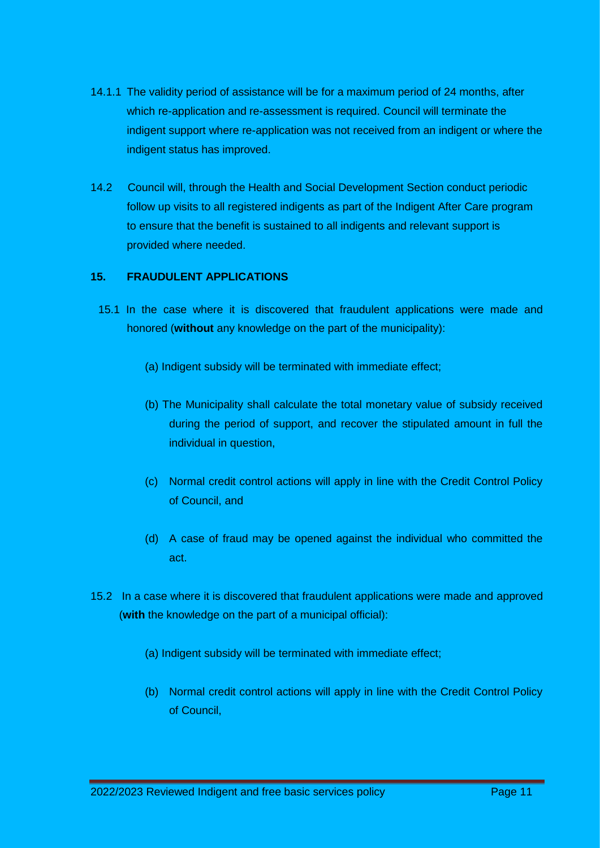- 14.1.1 The validity period of assistance will be for a maximum period of 24 months, after which re-application and re-assessment is required. Council will terminate the indigent support where re-application was not received from an indigent or where the indigent status has improved.
- 14.2 Council will, through the Health and Social Development Section conduct periodic follow up visits to all registered indigents as part of the Indigent After Care program to ensure that the benefit is sustained to all indigents and relevant support is provided where needed.

#### **15. FRAUDULENT APPLICATIONS**

- 15.1 In the case where it is discovered that fraudulent applications were made and honored (**without** any knowledge on the part of the municipality):
	- (a) Indigent subsidy will be terminated with immediate effect;
	- (b) The Municipality shall calculate the total monetary value of subsidy received during the period of support, and recover the stipulated amount in full the individual in question,
	- (c) Normal credit control actions will apply in line with the Credit Control Policy of Council, and
	- (d) A case of fraud may be opened against the individual who committed the act.
- 15.2 In a case where it is discovered that fraudulent applications were made and approved (**with** the knowledge on the part of a municipal official):
	- (a) Indigent subsidy will be terminated with immediate effect;
	- (b) Normal credit control actions will apply in line with the Credit Control Policy of Council,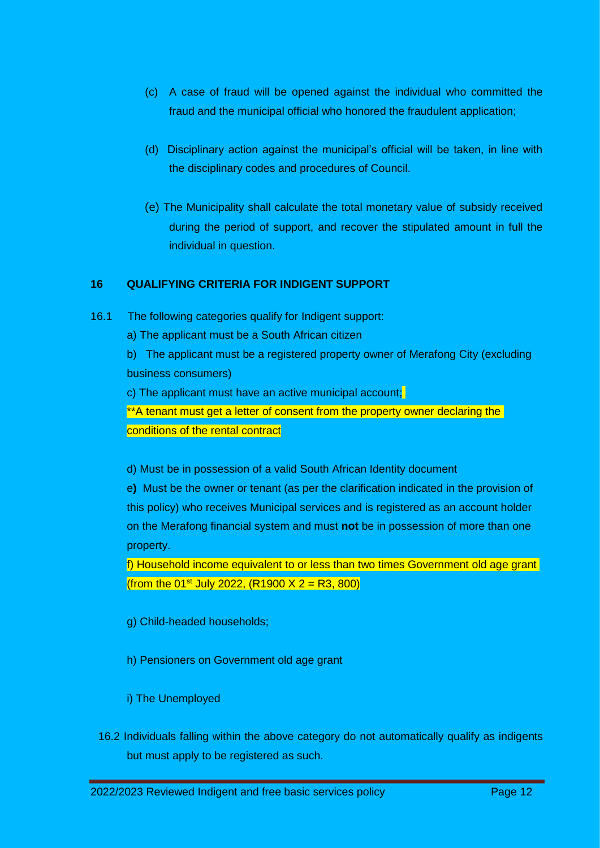- (c) A case of fraud will be opened against the individual who committed the fraud and the municipal official who honored the fraudulent application;
- (d) Disciplinary action against the municipal's official will be taken, in line with the disciplinary codes and procedures of Council.
- (e) The Municipality shall calculate the total monetary value of subsidy received during the period of support, and recover the stipulated amount in full the individual in question.

#### **16 QUALIFYING CRITERIA FOR INDIGENT SUPPORT**

- 16.1 The following categories qualify for Indigent support:
	- a) The applicant must be a South African citizen

b) The applicant must be a registered property owner of Merafong City (excluding business consumers)

c) The applicant must have an active municipal account;

\*\*A tenant must get a letter of consent from the property owner declaring the conditions of the rental contract

d) Must be in possession of a valid South African Identity document

e**)** Must be the owner or tenant (as per the clarification indicated in the provision of this policy) who receives Municipal services and is registered as an account holder on the Merafong financial system and must **not** be in possession of more than one property.

f) Household income equivalent to or less than two times Government old age grant (from the 01<sup>st</sup> July 2022, (R1900 X 2 = R3, 800)

- g) Child-headed households;
- h) Pensioners on Government old age grant
- i) The Unemployed
- 16.2 Individuals falling within the above category do not automatically qualify as indigents but must apply to be registered as such.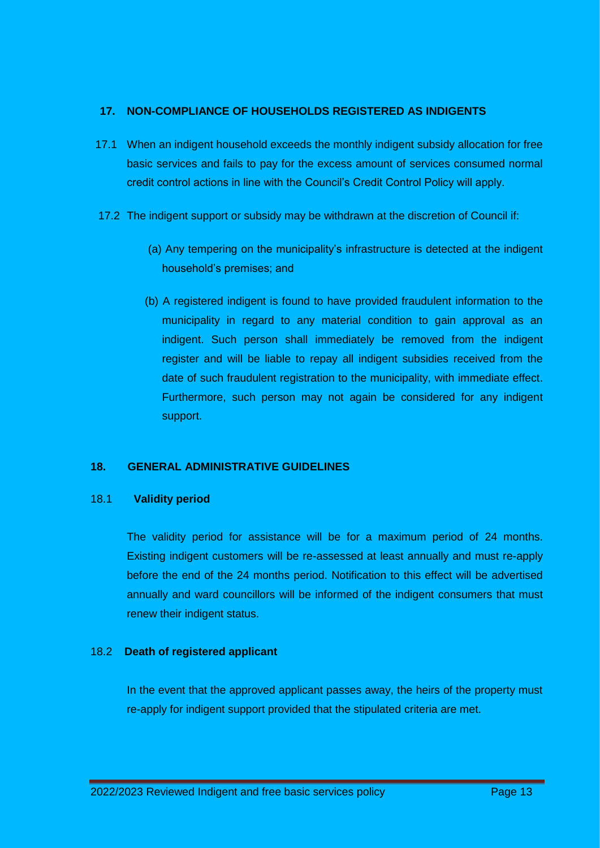#### **17. NON-COMPLIANCE OF HOUSEHOLDS REGISTERED AS INDIGENTS**

- 17.1 When an indigent household exceeds the monthly indigent subsidy allocation for free basic services and fails to pay for the excess amount of services consumed normal credit control actions in line with the Council's Credit Control Policy will apply.
- 17.2 The indigent support or subsidy may be withdrawn at the discretion of Council if:
	- (a) Any tempering on the municipality's infrastructure is detected at the indigent household's premises; and
	- (b) A registered indigent is found to have provided fraudulent information to the municipality in regard to any material condition to gain approval as an indigent. Such person shall immediately be removed from the indigent register and will be liable to repay all indigent subsidies received from the date of such fraudulent registration to the municipality, with immediate effect. Furthermore, such person may not again be considered for any indigent support.

#### **18. GENERAL ADMINISTRATIVE GUIDELINES**

#### 18.1 **Validity period**

The validity period for assistance will be for a maximum period of 24 months. Existing indigent customers will be re-assessed at least annually and must re-apply before the end of the 24 months period. Notification to this effect will be advertised annually and ward councillors will be informed of the indigent consumers that must renew their indigent status.

#### 18.2 **Death of registered applicant**

In the event that the approved applicant passes away, the heirs of the property must re-apply for indigent support provided that the stipulated criteria are met.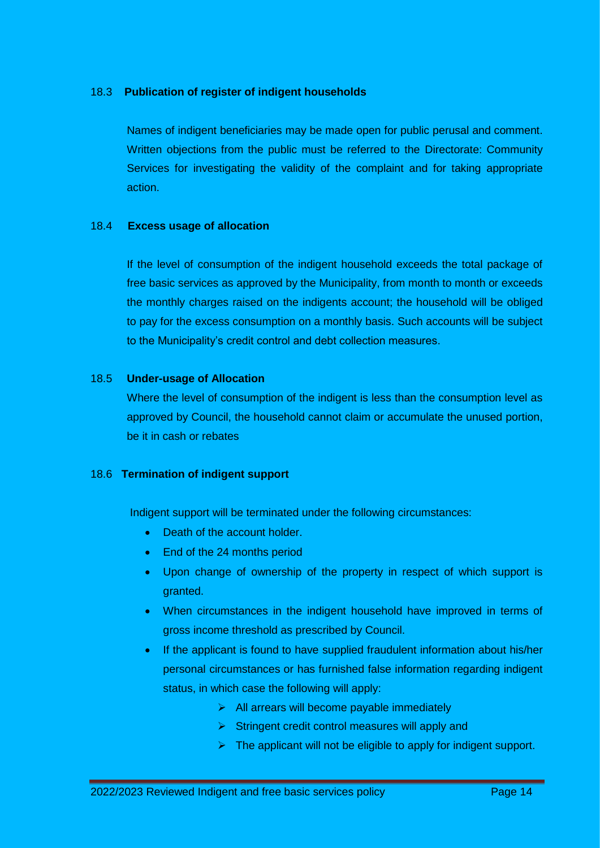#### 18.3 **Publication of register of indigent households**

Names of indigent beneficiaries may be made open for public perusal and comment. Written objections from the public must be referred to the Directorate: Community Services for investigating the validity of the complaint and for taking appropriate action.

#### 18.4 **Excess usage of allocation**

If the level of consumption of the indigent household exceeds the total package of free basic services as approved by the Municipality, from month to month or exceeds the monthly charges raised on the indigents account; the household will be obliged to pay for the excess consumption on a monthly basis. Such accounts will be subject to the Municipality's credit control and debt collection measures.

#### 18.5 **Under-usage of Allocation**

Where the level of consumption of the indigent is less than the consumption level as approved by Council, the household cannot claim or accumulate the unused portion, be it in cash or rebates

#### 18.6 **Termination of indigent support**

Indigent support will be terminated under the following circumstances:

- Death of the account holder.
- End of the 24 months period
- Upon change of ownership of the property in respect of which support is granted.
- When circumstances in the indigent household have improved in terms of gross income threshold as prescribed by Council.
- If the applicant is found to have supplied fraudulent information about his/her personal circumstances or has furnished false information regarding indigent status, in which case the following will apply:
	- $\triangleright$  All arrears will become payable immediately
	- $\triangleright$  Stringent credit control measures will apply and
	- $\triangleright$  The applicant will not be eligible to apply for indigent support.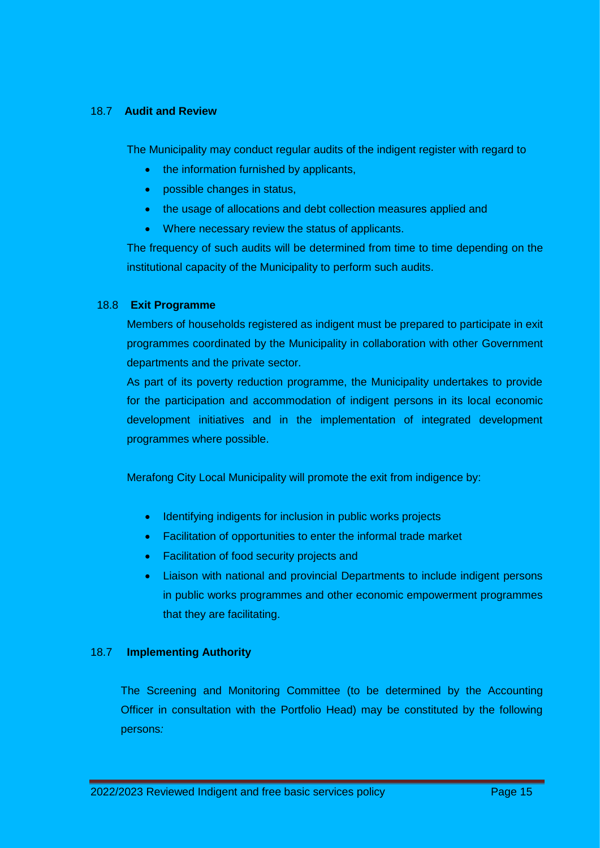#### 18.7 **Audit and Review**

The Municipality may conduct regular audits of the indigent register with regard to

- the information furnished by applicants,
- possible changes in status,
- the usage of allocations and debt collection measures applied and
- Where necessary review the status of applicants.

The frequency of such audits will be determined from time to time depending on the institutional capacity of the Municipality to perform such audits.

#### 18.8 **Exit Programme**

Members of households registered as indigent must be prepared to participate in exit programmes coordinated by the Municipality in collaboration with other Government departments and the private sector.

As part of its poverty reduction programme, the Municipality undertakes to provide for the participation and accommodation of indigent persons in its local economic development initiatives and in the implementation of integrated development programmes where possible.

Merafong City Local Municipality will promote the exit from indigence by:

- Identifying indigents for inclusion in public works projects
- Facilitation of opportunities to enter the informal trade market
- Facilitation of food security projects and
- Liaison with national and provincial Departments to include indigent persons in public works programmes and other economic empowerment programmes that they are facilitating.

#### 18.7 **Implementing Authority**

The Screening and Monitoring Committee (to be determined by the Accounting Officer in consultation with the Portfolio Head) may be constituted by the following persons*:*